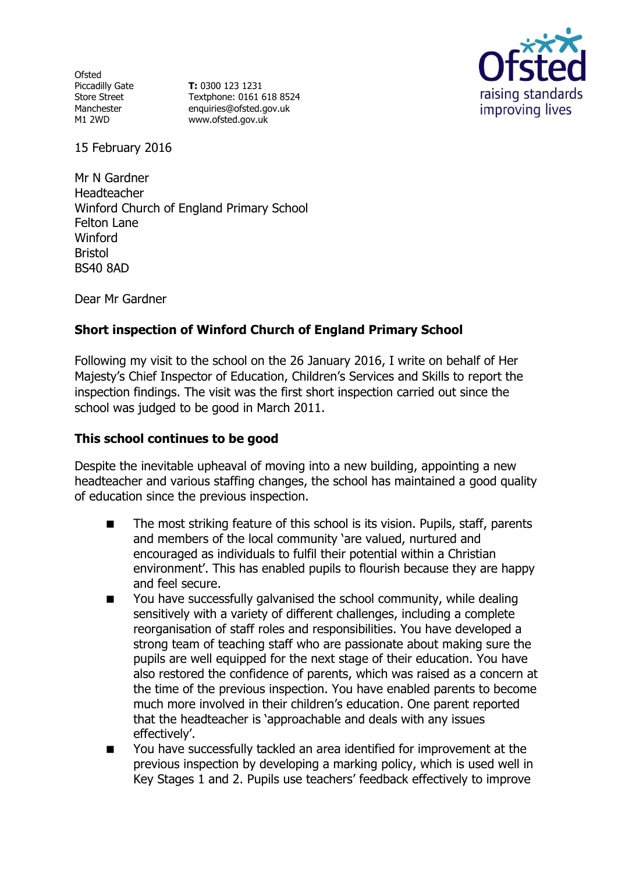Ofsted Piccadilly Gate Store Street Manchester M1 2WD

**T:** 0300 123 1231 Textphone: 0161 618 8524 enquiries@ofsted.gov.uk www.ofsted.gov.uk



15 February 2016

Mr N Gardner Headteacher Winford Church of England Primary School Felton Lane Winford Bristol BS40 8AD

Dear Mr Gardner

# **Short inspection of Winford Church of England Primary School**

Following my visit to the school on the 26 January 2016, I write on behalf of Her Majesty's Chief Inspector of Education, Children's Services and Skills to report the inspection findings. The visit was the first short inspection carried out since the school was judged to be good in March 2011.

## **This school continues to be good**

Despite the inevitable upheaval of moving into a new building, appointing a new headteacher and various staffing changes, the school has maintained a good quality of education since the previous inspection.

- The most striking feature of this school is its vision. Pupils, staff, parents and members of the local community 'are valued, nurtured and encouraged as individuals to fulfil their potential within a Christian environment'. This has enabled pupils to flourish because they are happy and feel secure.
- You have successfully galvanised the school community, while dealing sensitively with a variety of different challenges, including a complete reorganisation of staff roles and responsibilities. You have developed a strong team of teaching staff who are passionate about making sure the pupils are well equipped for the next stage of their education. You have also restored the confidence of parents, which was raised as a concern at the time of the previous inspection. You have enabled parents to become much more involved in their children's education. One parent reported that the headteacher is 'approachable and deals with any issues effectively'.
- You have successfully tackled an area identified for improvement at the previous inspection by developing a marking policy, which is used well in Key Stages 1 and 2. Pupils use teachers' feedback effectively to improve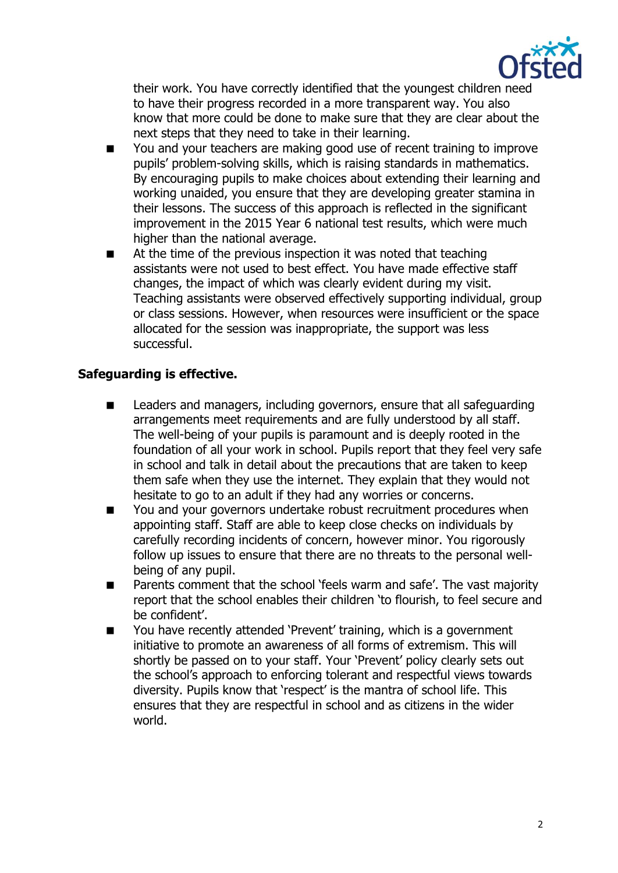

their work. You have correctly identified that the youngest children need to have their progress recorded in a more transparent way. You also know that more could be done to make sure that they are clear about the next steps that they need to take in their learning.

- You and your teachers are making good use of recent training to improve pupils' problem-solving skills, which is raising standards in mathematics. By encouraging pupils to make choices about extending their learning and working unaided, you ensure that they are developing greater stamina in their lessons. The success of this approach is reflected in the significant improvement in the 2015 Year 6 national test results, which were much higher than the national average.
- At the time of the previous inspection it was noted that teaching assistants were not used to best effect. You have made effective staff changes, the impact of which was clearly evident during my visit. Teaching assistants were observed effectively supporting individual, group or class sessions. However, when resources were insufficient or the space allocated for the session was inappropriate, the support was less successful.

#### **Safeguarding is effective.**

- **EXECTE:** Leaders and managers, including governors, ensure that all safeguarding arrangements meet requirements and are fully understood by all staff. The well-being of your pupils is paramount and is deeply rooted in the foundation of all your work in school. Pupils report that they feel very safe in school and talk in detail about the precautions that are taken to keep them safe when they use the internet. They explain that they would not hesitate to go to an adult if they had any worries or concerns.
- You and your governors undertake robust recruitment procedures when appointing staff. Staff are able to keep close checks on individuals by carefully recording incidents of concern, however minor. You rigorously follow up issues to ensure that there are no threats to the personal wellbeing of any pupil.
- **Parents comment that the school 'feels warm and safe'. The vast majority** report that the school enables their children 'to flourish, to feel secure and be confident'.
- You have recently attended 'Prevent' training, which is a government initiative to promote an awareness of all forms of extremism. This will shortly be passed on to your staff. Your 'Prevent' policy clearly sets out the school's approach to enforcing tolerant and respectful views towards diversity. Pupils know that 'respect' is the mantra of school life. This ensures that they are respectful in school and as citizens in the wider world.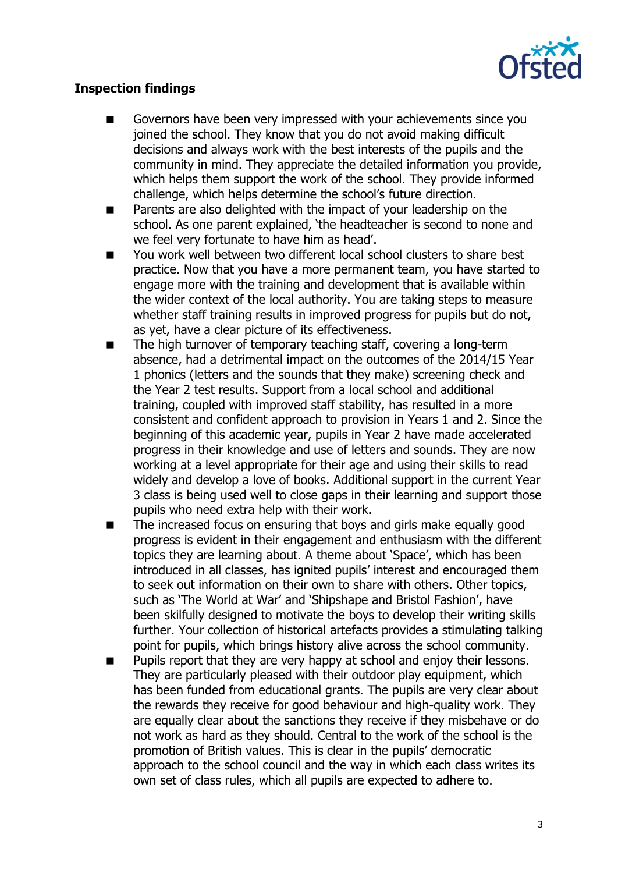

## **Inspection findings**

- Governors have been very impressed with your achievements since you joined the school. They know that you do not avoid making difficult decisions and always work with the best interests of the pupils and the community in mind. They appreciate the detailed information you provide, which helps them support the work of the school. They provide informed challenge, which helps determine the school's future direction.
- **Parents are also delighted with the impact of your leadership on the** school. As one parent explained, 'the headteacher is second to none and we feel very fortunate to have him as head'.
- You work well between two different local school clusters to share best practice. Now that you have a more permanent team, you have started to engage more with the training and development that is available within the wider context of the local authority. You are taking steps to measure whether staff training results in improved progress for pupils but do not, as yet, have a clear picture of its effectiveness.
- The high turnover of temporary teaching staff, covering a long-term absence, had a detrimental impact on the outcomes of the 2014/15 Year 1 phonics (letters and the sounds that they make) screening check and the Year 2 test results. Support from a local school and additional training, coupled with improved staff stability, has resulted in a more consistent and confident approach to provision in Years 1 and 2. Since the beginning of this academic year, pupils in Year 2 have made accelerated progress in their knowledge and use of letters and sounds. They are now working at a level appropriate for their age and using their skills to read widely and develop a love of books. Additional support in the current Year 3 class is being used well to close gaps in their learning and support those pupils who need extra help with their work.
- The increased focus on ensuring that boys and girls make equally good progress is evident in their engagement and enthusiasm with the different topics they are learning about. A theme about 'Space', which has been introduced in all classes, has ignited pupils' interest and encouraged them to seek out information on their own to share with others. Other topics, such as 'The World at War' and 'Shipshape and Bristol Fashion', have been skilfully designed to motivate the boys to develop their writing skills further. Your collection of historical artefacts provides a stimulating talking point for pupils, which brings history alive across the school community.
- Pupils report that they are very happy at school and enjoy their lessons. They are particularly pleased with their outdoor play equipment, which has been funded from educational grants. The pupils are very clear about the rewards they receive for good behaviour and high-quality work. They are equally clear about the sanctions they receive if they misbehave or do not work as hard as they should. Central to the work of the school is the promotion of British values. This is clear in the pupils' democratic approach to the school council and the way in which each class writes its own set of class rules, which all pupils are expected to adhere to.